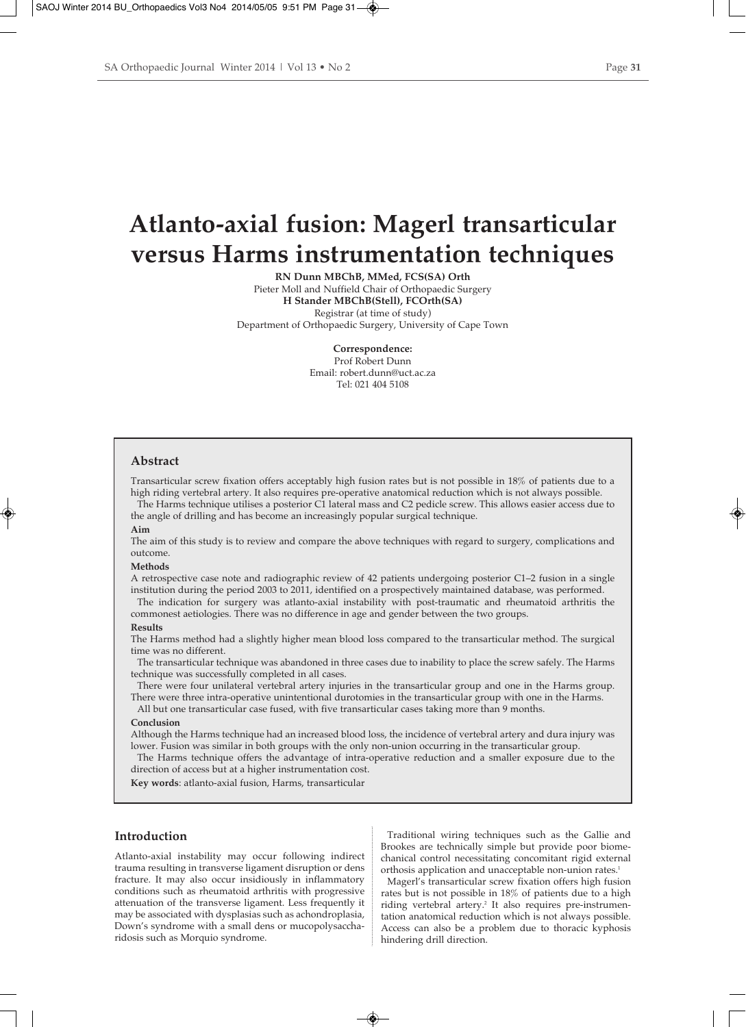# **Atlanto-axial fusion: Magerl transarticular versus Harms instrumentation techniques**

**RN Dunn MBChB, MMed, FCS(SA) Orth** Pieter Moll and Nuffield Chair of Orthopaedic Surgery **H Stander MBChB(Stell), FCOrth(SA)** Registrar (at time of study) Department of Orthopaedic Surgery, University of Cape Town

> **Correspondence:** Prof Robert Dunn Email: robert.dunn@uct.ac.za Tel: 021 404 5108

### **Abstract**

Transarticular screw fixation offers acceptably high fusion rates but is not possible in 18% of patients due to a high riding vertebral artery. It also requires pre-operative anatomical reduction which is not always possible.

The Harms technique utilises a posterior C1 lateral mass and C2 pedicle screw. This allows easier access due to the angle of drilling and has become an increasingly popular surgical technique.

## **Aim**

The aim of this study is to review and compare the above techniques with regard to surgery, complications and outcome.

#### **Methods**

A retrospective case note and radiographic review of 42 patients undergoing posterior C1–2 fusion in a single institution during the period 2003 to 2011, identified on a prospectively maintained database, was performed.

The indication for surgery was atlanto-axial instability with post-traumatic and rheumatoid arthritis the commonest aetiologies. There was no difference in age and gender between the two groups.

#### **Results**

The Harms method had a slightly higher mean blood loss compared to the transarticular method. The surgical time was no different.

The transarticular technique was abandoned in three cases due to inability to place the screw safely. The Harms technique was successfully completed in all cases.

There were four unilateral vertebral artery injuries in the transarticular group and one in the Harms group. There were three intra-operative unintentional durotomies in the transarticular group with one in the Harms.

All but one transarticular case fused, with five transarticular cases taking more than 9 months.

#### **Conclusion**

Although the Harms technique had an increased blood loss, the incidence of vertebral artery and dura injury was lower. Fusion was similar in both groups with the only non-union occurring in the transarticular group.

The Harms technique offers the advantage of intra-operative reduction and a smaller exposure due to the direction of access but at a higher instrumentation cost.

**Key words**: atlanto-axial fusion, Harms, transarticular

# **Introduction**

Atlanto-axial instability may occur following indirect trauma resulting in transverse ligament disruption or dens fracture. It may also occur insidiously in inflammatory conditions such as rheumatoid arthritis with progressive attenuation of the transverse ligament. Less frequently it may be associated with dysplasias such as achondroplasia, Down's syndrome with a small dens or mucopolysaccharidosis such as Morquio syndrome.

Traditional wiring techniques such as the Gallie and Brookes are technically simple but provide poor biomechanical control necessitating concomitant rigid external orthosis application and unacceptable non-union rates.<sup>1</sup>

Magerl's transarticular screw fixation offers high fusion rates but is not possible in 18% of patients due to a high riding vertebral artery.<sup>2</sup> It also requires pre-instrumentation anatomical reduction which is not always possible. Access can also be a problem due to thoracic kyphosis hindering drill direction.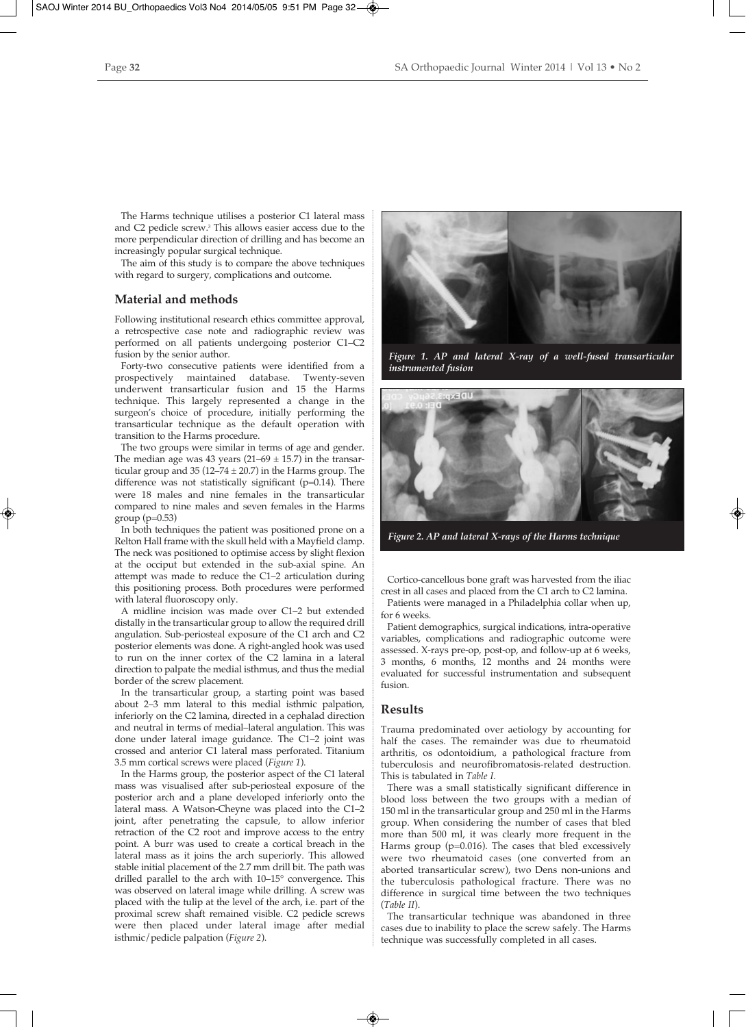The Harms technique utilises a posterior C1 lateral mass and C2 pedicle screw.3 This allows easier access due to the more perpendicular direction of drilling and has become an increasingly popular surgical technique.

The aim of this study is to compare the above techniques with regard to surgery, complications and outcome.

# **Material and methods**

Following institutional research ethics committee approval, a retrospective case note and radiographic review was performed on all patients undergoing posterior C1–C2 fusion by the senior author.

Forty-two consecutive patients were identified from a prospectively maintained database. Twenty-seven underwent transarticular fusion and 15 the Harms technique. This largely represented a change in the surgeon's choice of procedure, initially performing the transarticular technique as the default operation with transition to the Harms procedure.

The two groups were similar in terms of age and gender. The median age was 43 years  $(21–69 \pm 15.7)$  in the transarticular group and 35 (12–74  $\pm$  20.7) in the Harms group. The difference was not statistically significant ( $p=0.14$ ). There were 18 males and nine females in the transarticular compared to nine males and seven females in the Harms group (p=0.53)

In both techniques the patient was positioned prone on a Relton Hall frame with the skull held with a Mayfield clamp. The neck was positioned to optimise access by slight flexion at the occiput but extended in the sub-axial spine. An attempt was made to reduce the C1–2 articulation during this positioning process. Both procedures were performed with lateral fluoroscopy only.

A midline incision was made over C1–2 but extended distally in the transarticular group to allow the required drill angulation. Sub-periosteal exposure of the C1 arch and C2 posterior elements was done. A right-angled hook was used to run on the inner cortex of the C2 lamina in a lateral direction to palpate the medial isthmus, and thus the medial border of the screw placement.

In the transarticular group, a starting point was based about 2–3 mm lateral to this medial isthmic palpation, inferiorly on the C2 lamina, directed in a cephalad direction and neutral in terms of medial–lateral angulation. This was done under lateral image guidance. The C1–2 joint was crossed and anterior C1 lateral mass perforated. Titanium 3.5 mm cortical screws were placed (*Figure 1*).

In the Harms group, the posterior aspect of the C1 lateral mass was visualised after sub-periosteal exposure of the posterior arch and a plane developed inferiorly onto the lateral mass. A Watson-Cheyne was placed into the C1–2 joint, after penetrating the capsule, to allow inferior retraction of the C2 root and improve access to the entry point. A burr was used to create a cortical breach in the lateral mass as it joins the arch superiorly. This allowed stable initial placement of the 2.7 mm drill bit. The path was drilled parallel to the arch with 10–15° convergence. This was observed on lateral image while drilling. A screw was placed with the tulip at the level of the arch, i.e. part of the proximal screw shaft remained visible. C2 pedicle screws were then placed under lateral image after medial isthmic/pedicle palpation (*Figure 2*).



*Figure 1. AP and lateral X-ray of a well-fused transarticular instrumented fusion*



*Figure 2. AP and lateral X-rays of the Harms technique*

Cortico-cancellous bone graft was harvested from the iliac crest in all cases and placed from the C1 arch to C2 lamina. Patients were managed in a Philadelphia collar when up,

for 6 weeks. Patient demographics, surgical indications, intra-operative

variables, complications and radiographic outcome were assessed. X-rays pre-op, post-op, and follow-up at 6 weeks, 3 months, 6 months, 12 months and 24 months were evaluated for successful instrumentation and subsequent fusion.

## **Results**

Trauma predominated over aetiology by accounting for half the cases. The remainder was due to rheumatoid arthritis, os odontoidium, a pathological fracture from tuberculosis and neurofibromatosis-related destruction. This is tabulated in *Table I*.

There was a small statistically significant difference in blood loss between the two groups with a median of 150 ml in the transarticular group and 250 ml in the Harms group. When considering the number of cases that bled more than 500 ml, it was clearly more frequent in the Harms group ( $p=0.016$ ). The cases that bled excessively were two rheumatoid cases (one converted from an aborted transarticular screw), two Dens non-unions and the tuberculosis pathological fracture. There was no difference in surgical time between the two techniques (*Table II*).

The transarticular technique was abandoned in three cases due to inability to place the screw safely. The Harms technique was successfully completed in all cases.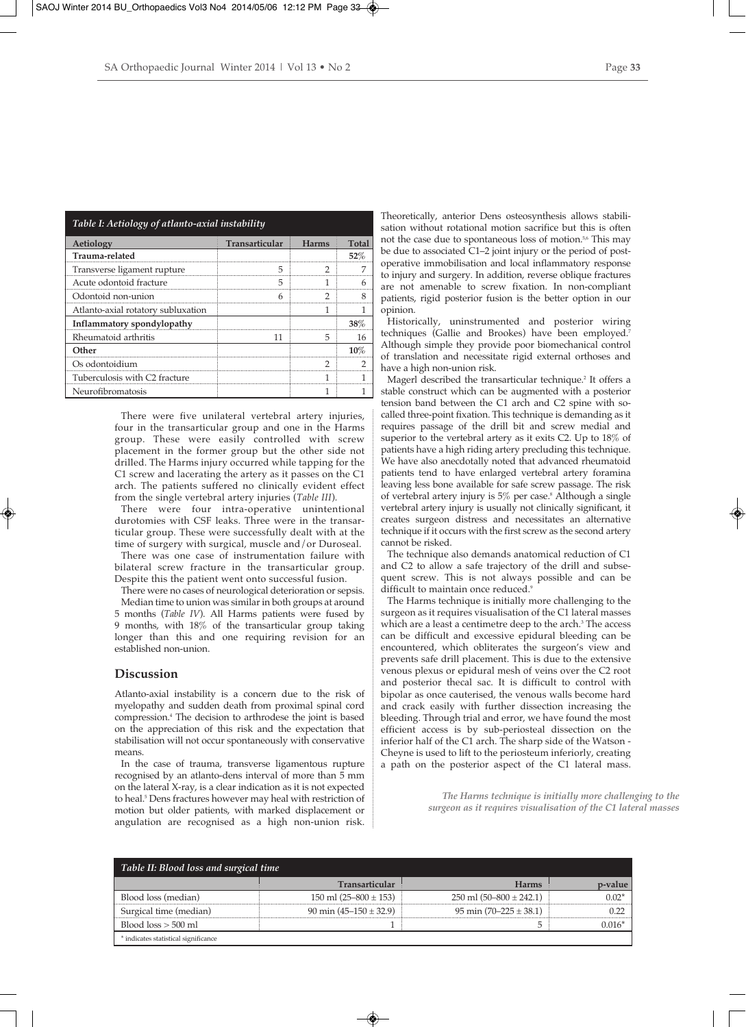|--|--|--|

| Table I: Aetiology of atlanto-axial instability |                |              |              |
|-------------------------------------------------|----------------|--------------|--------------|
| Aetiology                                       | Transarticular | <b>Harms</b> | <b>Total</b> |
| Trauma-related                                  |                |              | 52%          |
| Transverse ligament rupture                     |                |              |              |
| Acute odontoid fracture                         | 5              |              |              |
| Odontoid non-union                              |                |              |              |
| Atlanto-axial rotatory subluxation              |                |              |              |
| Inflammatory spondylopathy                      |                |              | 38%          |
| Rheumatoid arthritis                            | 11             |              |              |
| Other                                           |                |              |              |
| Os odontoidium                                  |                | ר            |              |
| Tuberculosis with C2 fracture                   |                |              |              |
| Neurofibromatosis                               |                |              |              |

There were five unilateral vertebral artery injuries, four in the transarticular group and one in the Harms group. These were easily controlled with screw placement in the former group but the other side not drilled. The Harms injury occurred while tapping for the C1 screw and lacerating the artery as it passes on the C1 arch. The patients suffered no clinically evident effect from the single vertebral artery injuries (*Table III*).

There were four intra-operative unintentional durotomies with CSF leaks. Three were in the transarticular group. These were successfully dealt with at the time of surgery with surgical, muscle and/or Duroseal.

There was one case of instrumentation failure with bilateral screw fracture in the transarticular group. Despite this the patient went onto successful fusion.

There were no cases of neurological deterioration or sepsis. Median time to union was similar in both groups at around 5 months (*Table IV*). All Harms patients were fused by 9 months, with 18% of the transarticular group taking longer than this and one requiring revision for an established non-union.

## **Discussion**

Atlanto-axial instability is a concern due to the risk of myelopathy and sudden death from proximal spinal cord compression.4 The decision to arthrodese the joint is based on the appreciation of this risk and the expectation that stabilisation will not occur spontaneously with conservative means.

In the case of trauma, transverse ligamentous rupture recognised by an atlanto-dens interval of more than 5 mm on the lateral X-ray, is a clear indication as it is not expected to heal.<sup>5</sup> Dens fractures however may heal with restriction of motion but older patients, with marked displacement or angulation are recognised as a high non-union risk.

Theoretically, anterior Dens osteosynthesis allows stabilisation without rotational motion sacrifice but this is often not the case due to spontaneous loss of motion.<sup>5,6</sup> This may be due to associated C1–2 joint injury or the period of postoperative immobilisation and local inflammatory response to injury and surgery. In addition, reverse oblique fractures are not amenable to screw fixation. In non-compliant patients, rigid posterior fusion is the better option in our opinion.

Historically, uninstrumented and posterior wiring techniques (Gallie and Brookes) have been employed.<sup>7</sup> Although simple they provide poor biomechanical control of translation and necessitate rigid external orthoses and have a high non-union risk.

Magerl described the transarticular technique.<sup>2</sup> It offers a stable construct which can be augmented with a posterior tension band between the C1 arch and C2 spine with socalled three-point fixation. This technique is demanding as it requires passage of the drill bit and screw medial and superior to the vertebral artery as it exits C2. Up to 18% of patients have a high riding artery precluding this technique. We have also anecdotally noted that advanced rheumatoid patients tend to have enlarged vertebral artery foramina leaving less bone available for safe screw passage. The risk of vertebral artery injury is  $5\%$  per case.<sup>8</sup> Although a single vertebral artery injury is usually not clinically significant, it creates surgeon distress and necessitates an alternative technique if it occurs with the first screw as the second artery cannot be risked.

The technique also demands anatomical reduction of C1 and C2 to allow a safe trajectory of the drill and subsequent screw. This is not always possible and can be difficult to maintain once reduced.<sup>9</sup>

The Harms technique is initially more challenging to the surgeon as it requires visualisation of the C1 lateral masses which are a least a centimetre deep to the arch.<sup>3</sup> The access can be difficult and excessive epidural bleeding can be encountered, which obliterates the surgeon's view and prevents safe drill placement. This is due to the extensive venous plexus or epidural mesh of veins over the C2 root and posterior thecal sac. It is difficult to control with bipolar as once cauterised, the venous walls become hard and crack easily with further dissection increasing the bleeding. Through trial and error, we have found the most efficient access is by sub-periosteal dissection on the inferior half of the C1 arch. The sharp side of the Watson - Cheyne is used to lift to the periosteum inferiorly, creating a path on the posterior aspect of the C1 lateral mass.

> *The Harms technique is initially more challenging to the surgeon as it requires visualisation of the C1 lateral masses*

| Table II: Blood loss and surgical time |                            |                               |         |  |
|----------------------------------------|----------------------------|-------------------------------|---------|--|
|                                        | <b>Transarticular</b>      | <b>Harms</b>                  | p-value |  |
| Blood loss (median)                    | 150 ml $(25-800 \pm 153)$  | $250$ ml $(50-800 \pm 242.1)$ | $0.02*$ |  |
| Surgical time (median)                 | 90 min $(45-150 \pm 32.9)$ | 95 min $(70-225 \pm 38.1)$    |         |  |
| Blood $loss > 500$ ml                  |                            |                               | 0.016*  |  |
| * indicates statistical significance   |                            |                               |         |  |